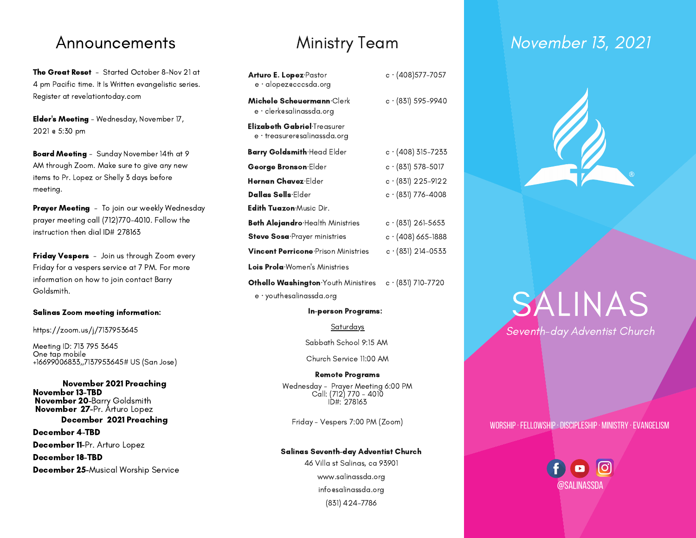The Great Reset - Started October 8-Nov 21 at 4 pm Pacific time. It Is Written evangelistic series. Register at revelationtoday.com

Elder's Meeting - Wednesday, November 17, 2021 @ 5:30 pm

Board Meeting - Sunday November 14th at 9 AM through Zoom. Make sure to give any new items to Pr. Lopez or Shelly 3 days before meeting.

Prayer Meeting - To join our weekly Wednesday prayer meeting call (712)770-4010. Follow the instruction then dial ID# 278163

Friday Vespers - Join us through Zoom every Friday for a vespers service at 7 PM. For more information on how to join contact Barry Goldsmith.

### Salinas Zoom meeting information:

### https://zoom.us/j/7137953645

Meeting ID: 713 795 3645 One tap mobile +16699006833,,7137953645# US (San Jose)

November 2021 Preaching November 13-TBD November 20-Barry Goldsmith November 27-Pr. Arturo Lopez December 2021 Preaching December 4-TBD

December 11-Pr. Arturo Lopez December 18-TBD December 25-Musical Worship Service

| <b>Arturo E. Lopez</b> Pastor<br>e · alopez@cccsda.org      | $c \cdot (408)$ 577–7057   |
|-------------------------------------------------------------|----------------------------|
| Michele Scheuermann·Clerk<br>e · clerk@salinassda.org       | $c \cdot (831) 595 - 9940$ |
| Elizabeth Gabriel Treasurer<br>e · treasurer@salinassda.org |                            |
| <b>Barry Goldsmith</b> Head Elder                           | $c \cdot (408)$ 315–7233   |
| George Bronson Elder                                        | $c \cdot (831) 578 - 5017$ |
| Hernan Chavez·Elder                                         | $c \cdot (831)$ 225-9122   |
| <b>Dallas Sells</b> Flder                                   | $c \cdot (831)$ 776-4008   |
| <b>Edith Tuazon:</b> Music Dir.                             |                            |
| <b>Beth Alejandro</b> Health Ministries                     | $c \cdot (831)$ 261–5653   |
| <b>Steve Sosa</b> <sup>-Prayer ministries</sup>             | $c \cdot (408)$ 665–1888   |
| <b>Vincent Perricone</b> Prison Ministries                  | $c \cdot (831)$ 214-0533   |
| <b>Lois Prola</b> Women's Ministries                        |                            |

Othello Washington∙Youth Ministires c · (831) 710-7720 e · youth@salinassda.org

### In-person Programs:

Saturdays

Sabbath School 9:15 AM

Church Service 11:00 AM

### Remote Programs

Wednesday - Prayer Meeting 6:00 PM Call: (712) 770 - 4010 ID#: 278163

Friday - Vespers 7:00 PM (Zoom)

### Salinas Seventh-day Adventist Church

46 Villa st Salinas, ca 93901 www.salinassda.org info@salinassda.org (831) 424-7786

# Announcements Ministry Team November 13, 2021



# SALINAS Seventh-day Adventist Church

### worship·fellowship·discipleship· ministry ·evangelism